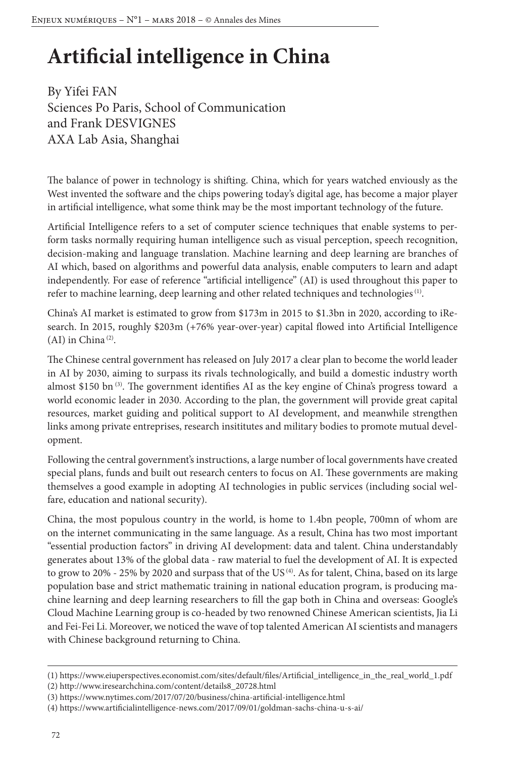# **Artificial intelligence in China**

By Yifei FAN Sciences Po Paris, School of Communication and Frank DESVIGNES AXA Lab Asia, Shanghai

The balance of power in technology is shifting. China, which for years watched enviously as the West invented the software and the chips powering today's digital age, has become a major player in artificial intelligence, what some think may be the most important technology of the future.

Artificial Intelligence refers to a set of computer science techniques that enable systems to perform tasks normally requiring human intelligence such as visual perception, speech recognition, decision-making and language translation. Machine learning and deep learning are branches of AI which, based on algorithms and powerful data analysis, enable computers to learn and adapt independently. For ease of reference "artificial intelligence" (AI) is used throughout this paper to refer to machine learning, deep learning and other related techniques and technologies (1).

China's AI market is estimated to grow from \$173m in 2015 to \$1.3bn in 2020, according to iResearch. In 2015, roughly \$203m (+76% year-over-year) capital flowed into Artificial Intelligence  $(AI)$  in China<sup>(2)</sup>.

The Chinese central government has released on July 2017 a clear plan to become the world leader in AI by 2030, aiming to surpass its rivals technologically, and build a domestic industry worth almost \$150 bn<sup>(3)</sup>. The government identifies AI as the key engine of China's progress toward a world economic leader in 2030. According to the plan, the government will provide great capital resources, market guiding and political support to AI development, and meanwhile strengthen links among private entreprises, research insititutes and military bodies to promote mutual development.

Following the central government's instructions, a large number of local governments have created special plans, funds and built out research centers to focus on AI. These governments are making themselves a good example in adopting AI technologies in public services (including social welfare, education and national security).

China, the most populous country in the world, is home to 1.4bn people, 700mn of whom are on the internet communicating in the same language. As a result, China has two most important "essential production factors" in driving AI development: data and talent. China understandably generates about 13% of the global data - raw material to fuel the development of AI. It is expected to grow to 20% - 25% by 2020 and surpass that of the US<sup>(4)</sup>. As for talent, China, based on its large population base and strict mathematic training in national education program, is producing machine learning and deep learning researchers to fill the gap both in China and overseas: Google's Cloud Machine Learning group is co-headed by two renowned Chinese American scientists, Jia Li and Fei-Fei Li. Moreover, we noticed the wave of top talented American AI scientists and managers with Chinese background returning to China.

<sup>(1)</sup> https://www.eiuperspectives.economist.com/sites/default/files/Artificial\_intelligence\_in\_the\_real\_world\_1.pdf

<sup>(2)</sup> http://www.iresearchchina.com/content/details8\_20728.html

<sup>(3)</sup> https://www.nytimes.com/2017/07/20/business/china-artificial-intelligence.html

<sup>(4)</sup> https://www.artificialintelligence-news.com/2017/09/01/goldman-sachs-china-u-s-ai/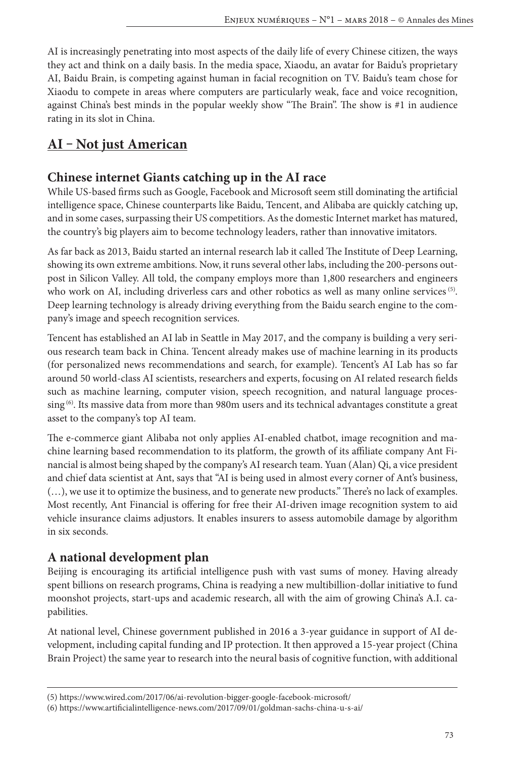AI is increasingly penetrating into most aspects of the daily life of every Chinese citizen, the ways they act and think on a daily basis. In the media space, Xiaodu, an avatar for Baidu's proprietary AI, Baidu Brain, is competing against human in facial recognition on TV. Baidu's team chose for Xiaodu to compete in areas where computers are particularly weak, face and voice recognition, against China's best minds in the popular weekly show "The Brain". The show is #1 in audience rating in its slot in China.

# **AI ‒ Not just American**

## **Chinese internet Giants catching up in the AI race**

While US-based firms such as Google, Facebook and Microsoft seem still dominating the artificial intelligence space, Chinese counterparts like Baidu, Tencent, and Alibaba are quickly catching up, and in some cases, surpassing their US competitiors. As the domestic Internet market has matured, the country's big players aim to become technology leaders, rather than innovative imitators.

As far back as 2013, Baidu started an internal research lab it called The Institute of Deep Learning, showing its own extreme ambitions. Now, it runs several other labs, including the 200-persons outpost in Silicon Valley. All told, the company employs more than 1,800 researchers and engineers who work on AI, including driverless cars and other robotics as well as many online services <sup>(5)</sup>. Deep learning technology is already driving everything from the Baidu search engine to the company's image and speech recognition services.

Tencent has established an AI lab in Seattle in May 2017, and the company is building a very serious research team back in China. Tencent already makes use of machine learning in its products (for personalized news recommendations and search, for example). Tencent's AI Lab has so far around 50 world-class AI scientists, researchers and experts, focusing on AI related research fields such as machine learning, computer vision, speech recognition, and natural language processing <sup>(6)</sup>. Its massive data from more than 980m users and its technical advantages constitute a great asset to the company's top AI team.

The e-commerce giant Alibaba not only applies AI-enabled chatbot, image recognition and machine learning based recommendation to its platform, the growth of its affiliate company Ant Financial is almost being shaped by the company's AI research team. Yuan (Alan) Qi, a vice president and chief data scientist at Ant, says that "AI is being used in almost every corner of Ant's business, (…), we use it to optimize the business, and to generate new products." There's no lack of examples. Most recently, Ant Financial is offering for free their AI-driven image recognition system to aid vehicle insurance claims adjustors. It enables insurers to assess automobile damage by algorithm in six seconds.

## **A national development plan**

Beijing is encouraging its artificial intelligence push with vast sums of money. Having already spent billions on research programs, China is readying a new multibillion-dollar initiative to fund moonshot projects, start-ups and academic research, all with the aim of growing China's A.I. capabilities.

At national level, Chinese government published in 2016 a 3-year guidance in support of AI development, including capital funding and IP protection. It then approved a 15-year project (China Brain Project) the same year to research into the neural basis of cognitive function, with additional

<sup>(5)</sup> https://www.wired.com/2017/06/ai-revolution-bigger-google-facebook-microsoft/

<sup>(6)</sup> https://www.artificialintelligence-news.com/2017/09/01/goldman-sachs-china-u-s-ai/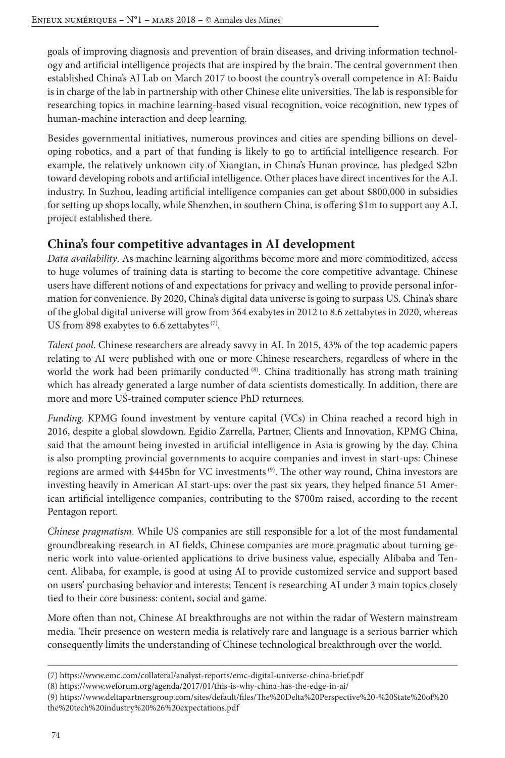goals of improving diagnosis and prevention of brain diseases, and driving information technology and artificial intelligence projects that are inspired by the brain. The central government then established China's AI Lab on March 2017 to boost the country's overall competence in AI: Baidu is in charge of the lab in partnership with other Chinese elite universities. The lab is responsible for researching topics in machine learning-based visual recognition, voice recognition, new types of human-machine interaction and deep learning.

Besides governmental initiatives, numerous provinces and cities are spending billions on developing robotics, and a part of that funding is likely to go to artificial intelligence research. For example, the relatively unknown city of Xiangtan, in China's Hunan province, has pledged \$2bn toward developing robots and artificial intelligence. Other places have direct incentives for the A.I. industry. In Suzhou, leading artificial intelligence companies can get about \$800,000 in subsidies for setting up shops locally, while Shenzhen, in southern China, is offering \$1m to support any A.I. project established there.

## **China's four competitive advantages in AI development**

*Data availability*. As machine learning algorithms become more and more commoditized, access to huge volumes of training data is starting to become the core competitive advantage. Chinese users have different notions of and expectations for privacy and welling to provide personal information for convenience. By 2020, China's digital data universe is going to surpass US. China's share of the global digital universe will grow from 364 exabytes in 2012 to 8.6 zettabytes in 2020, whereas US from 898 exabytes to 6.6 zettabytes<sup>(7)</sup>.

*Talent pool*. Chinese researchers are already savvy in AI. In 2015, 43% of the top academic papers relating to AI were published with one or more Chinese researchers, regardless of where in the world the work had been primarily conducted (8). China traditionally has strong math training which has already generated a large number of data scientists domestically. In addition, there are more and more US-trained computer science PhD returnees.

*Funding.* KPMG found investment by venture capital (VCs) in China reached a record high in 2016, despite a global slowdown. Egidio Zarrella, Partner, Clients and Innovation, KPMG China, said that the amount being invested in artificial intelligence in Asia is growing by the day. China is also prompting provincial governments to acquire companies and invest in start-ups: Chinese regions are armed with \$445bn for VC investments (9). The other way round, China investors are investing heavily in American AI start-ups: over the past six years, they helped finance 51 American artificial intelligence companies, contributing to the \$700m raised, according to the recent Pentagon report.

*Chinese pragmatism*. While US companies are still responsible for a lot of the most fundamental groundbreaking research in AI fields, Chinese companies are more pragmatic about turning generic work into value-oriented applications to drive business value, especially Alibaba and Tencent. Alibaba, for example, is good at using AI to provide customized service and support based on users' purchasing behavior and interests; Tencent is researching AI under 3 main topics closely tied to their core business: content, social and game.

More often than not, Chinese AI breakthroughs are not within the radar of Western mainstream media. Their presence on western media is relatively rare and language is a serious barrier which consequently limits the understanding of Chinese technological breakthrough over the world.

<sup>(7)</sup> https://www.emc.com/collateral/analyst-reports/emc-digital-universe-china-brief.pdf

<sup>(8)</sup> https://www.weforum.org/agenda/2017/01/this-is-why-china-has-the-edge-in-ai/

<sup>(9)</sup> https://www.deltapartnersgroup.com/sites/default/files/The%20Delta%20Perspective%20-%20State%20of%20 the%20tech%20industry%20%26%20expectations.pdf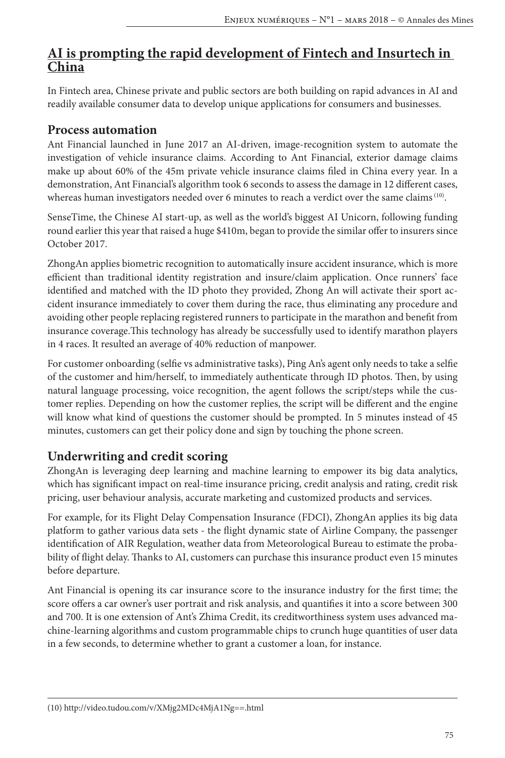# **AI is prompting the rapid development of Fintech and Insurtech in China**

In Fintech area, Chinese private and public sectors are both building on rapid advances in AI and readily available consumer data to develop unique applications for consumers and businesses.

#### **Process automation**

Ant Financial launched in June 2017 an AI-driven, image-recognition system to automate the investigation of vehicle insurance claims. According to Ant Financial, exterior damage claims make up about 60% of the 45m private vehicle insurance claims filed in China every year. In a demonstration, Ant Financial's algorithm took 6 seconds to assess the damage in 12 different cases, whereas human investigators needed over 6 minutes to reach a verdict over the same claims<sup>(10)</sup>.

SenseTime, the Chinese AI start-up, as well as the world's biggest AI Unicorn, following funding round earlier this year that raised a huge \$410m, began to provide the similar offer to insurers since October 2017.

ZhongAn applies biometric recognition to automatically insure accident insurance, which is more efficient than traditional identity registration and insure/claim application. Once runners' face identified and matched with the ID photo they provided, Zhong An will activate their sport accident insurance immediately to cover them during the race, thus eliminating any procedure and avoiding other people replacing registered runners to participate in the marathon and benefit from insurance coverage.This technology has already be successfully used to identify marathon players in 4 races. It resulted an average of 40% reduction of manpower.

For customer onboarding (selfie vs administrative tasks), Ping An's agent only needs to take a selfie of the customer and him/herself, to immediately authenticate through ID photos. Then, by using natural language processing, voice recognition, the agent follows the script/steps while the customer replies. Depending on how the customer replies, the script will be different and the engine will know what kind of questions the customer should be prompted. In 5 minutes instead of 45 minutes, customers can get their policy done and sign by touching the phone screen.

# **Underwriting and credit scoring**

ZhongAn is leveraging deep learning and machine learning to empower its big data analytics, which has significant impact on real-time insurance pricing, credit analysis and rating, credit risk pricing, user behaviour analysis, accurate marketing and customized products and services.

For example, for its Flight Delay Compensation Insurance (FDCI), ZhongAn applies its big data platform to gather various data sets - the flight dynamic state of Airline Company, the passenger identification of AIR Regulation, weather data from Meteorological Bureau to estimate the probability of flight delay. Thanks to AI, customers can purchase this insurance product even 15 minutes before departure.

Ant Financial is opening its car insurance score to the insurance industry for the first time; the score offers a car owner's user portrait and risk analysis, and quantifies it into a score between 300 and 700. It is one extension of Ant's Zhima Credit, its creditworthiness system uses advanced machine-learning algorithms and custom programmable chips to crunch huge quantities of user data in a few seconds, to determine whether to grant a customer a loan, for instance.

<sup>(10)</sup> http://video.tudou.com/v/XMjg2MDc4MjA1Ng==.html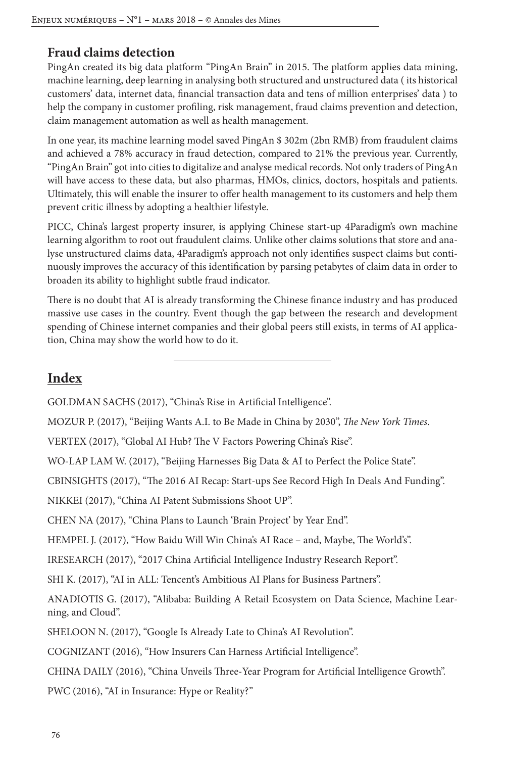#### **Fraud claims detection**

PingAn created its big data platform "PingAn Brain" in 2015. The platform applies data mining, machine learning, deep learning in analysing both structured and unstructured data ( its historical customers' data, internet data, financial transaction data and tens of million enterprises' data ) to help the company in customer profiling, risk management, fraud claims prevention and detection, claim management automation as well as health management.

In one year, its machine learning model saved PingAn \$ 302m (2bn RMB) from fraudulent claims and achieved a 78% accuracy in fraud detection, compared to 21% the previous year. Currently, "PingAn Brain" got into cities to digitalize and analyse medical records. Not only traders of PingAn will have access to these data, but also pharmas, HMOs, clinics, doctors, hospitals and patients. Ultimately, this will enable the insurer to offer health management to its customers and help them prevent critic illness by adopting a healthier lifestyle.

PICC, China's largest property insurer, is applying Chinese start-up 4Paradigm's own machine learning algorithm to root out fraudulent claims. Unlike other claims solutions that store and analyse unstructured claims data, 4Paradigm's approach not only identifies suspect claims but continuously improves the accuracy of this identification by parsing petabytes of claim data in order to broaden its ability to highlight subtle fraud indicator.

There is no doubt that AI is already transforming the Chinese finance industry and has produced massive use cases in the country. Event though the gap between the research and development spending of Chinese internet companies and their global peers still exists, in terms of AI application, China may show the world how to do it.

# **Index**

GOLDMAN SACHS (2017), "China's Rise in Artificial Intelligence".

MOZUR P. (2017), "Beijing Wants A.I. to Be Made in China by 2030", *The New York Times*.

VERTEX (2017), "Global AI Hub? The V Factors Powering China's Rise".

WO-LAP LAM W. (2017), "Beijing Harnesses Big Data & AI to Perfect the Police State".

CBINSIGHTS (2017), "The 2016 AI Recap: Start-ups See Record High In Deals And Funding".

NIKKEI (2017), "China AI Patent Submissions Shoot UP".

CHEN NA (2017), "China Plans to Launch 'Brain Project' by Year End".

HEMPEL J. (2017), "How Baidu Will Win China's AI Race – and, Maybe, The World's".

IRESEARCH (2017), "2017 China Artificial Intelligence Industry Research Report".

SHI K. (2017), "AI in ALL: Tencent's Ambitious AI Plans for Business Partners".

ANADIOTIS G. (2017), "Alibaba: Building A Retail Ecosystem on Data Science, Machine Learning, and Cloud".

SHELOON N. (2017), "Google Is Already Late to China's AI Revolution".

COGNIZANT (2016), "How Insurers Can Harness Artificial Intelligence".

CHINA DAILY (2016), "China Unveils Three-Year Program for Artificial Intelligence Growth".

PWC (2016), "AI in Insurance: Hype or Reality?"